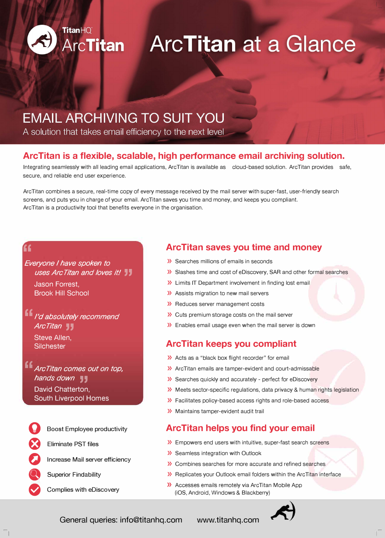

# **ArcTitan ArcTitan at a Glance**

## **EMAIL ARCHIVING TO SUIT YOU**

A solution that takes email efficiency to the next level

### **ArcTitan is a flexible, scalable, high performance email archiving solution.**

Integrating seamlessly with all leading email applications, Arc Titan is available as a cloud-based solution. Arc Titan provides a safe, secure, and reliable end user experience.

Arc Titan combines a secure, real-time copy of every message received by the mail server with super-fast, user-friendly search screens, and puts you in charge of your email. Arc Titan saves you time and money, and keeps you compliant. Arc Titan is a productivity tool that benefits everyone in the organisation.

#### *''*

*Everyone I have spoken to uses Arc Titan and loves it!* Jason Forrest,

Brook Hill School

*'' I'd absolutely recommend ArcTitan* , Steve Allen, **Silchester** 

*'' Arc Titan comes out on top, hands down* **, ,** David Chatterton, South Liverpool Homes

**Boost Employee productivity** 

� Eliminate PST files

**Increase Mail server efficiency** 

**Superior Findability** 

**e** Complies with eDiscovery

#### **ArcTitan saves you time and money**

- » Searches millions of emails in seconds
- » Slashes time and cost of eDiscovery, SAR and other formal searches
- » Limits IT Department involvement in finding lost email
- » Assists migration to new mail servers
- » Reduces server management costs
- » Cuts premium storage costs on the mail server
- » Enables email usage even when the mail server is down

#### **ArcTitan keeps you compliant**

- » Acts as a "black box flight recorder" for email
- » ArcTitan emails are tamper-evident and court-admissable
- » Searches quickly and accurately perfect for eDiscovery
- » Meets sector-specific regulations, data privacy & human rights legislation
- » Facilitates policy-based access rights and role-based access
- » Maintains tamper-evident audit trail

#### **ArcTitan helps you find your email**

- » Empowers end users with intuitive, super-fast search screens
- » Seamless integration with Outlook
- » Combines searches for more accurate and refined searches
- » Replicates your Outlook email folders within the Arc Titan interface
- » Accesses emails remotely via Arc Titan Mobile App (iOS, Android, Windows & Blackberry)



General queries: info@titanhq.com www.titanhq.com